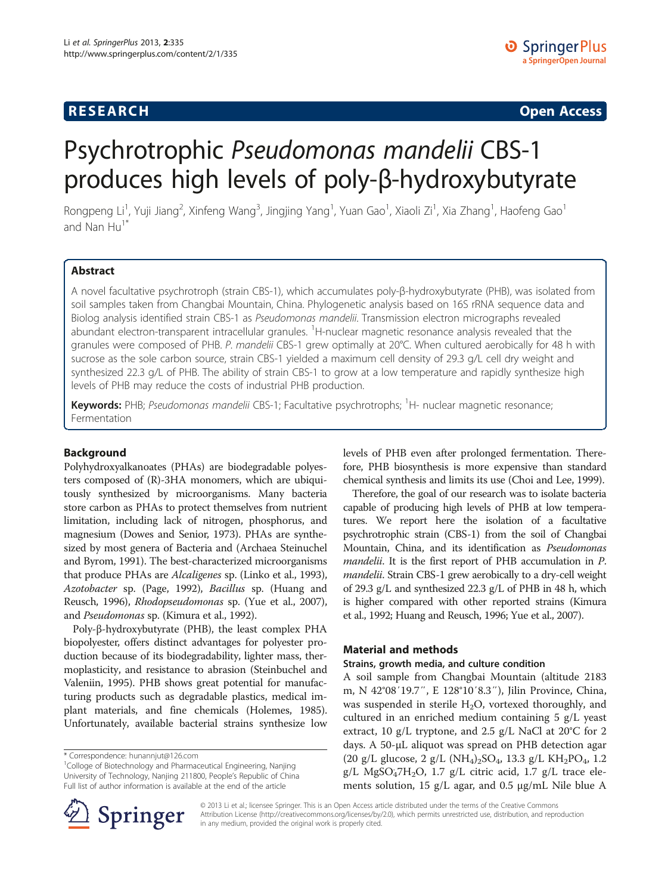# **RESEARCH RESEARCH CONSUMING ACCESS**

# Psychrotrophic Pseudomonas mandelii CBS-1 produces high levels of poly-β-hydroxybutyrate

Rongpeng Li<sup>1</sup>, Yuji Jiang<sup>2</sup>, Xinfeng Wang<sup>3</sup>, Jingjing Yang<sup>1</sup>, Yuan Gao<sup>1</sup>, Xiaoli Zi<sup>1</sup>, Xia Zhang<sup>1</sup>, Haofeng Gao<sup>1</sup> and Nan  $Hu^1$ 

# Abstract

A novel facultative psychrotroph (strain CBS-1), which accumulates poly-β-hydroxybutyrate (PHB), was isolated from soil samples taken from Changbai Mountain, China. Phylogenetic analysis based on 16S rRNA sequence data and Biolog analysis identified strain CBS-1 as Pseudomonas mandelii. Transmission electron micrographs revealed abundant electron-transparent intracellular granules. <sup>1</sup>H-nuclear magnetic resonance analysis revealed that the granules were composed of PHB. P. mandelii CBS-1 grew optimally at 20°C. When cultured aerobically for 48 h with sucrose as the sole carbon source, strain CBS-1 yielded a maximum cell density of 29.3 g/L cell dry weight and synthesized 22.3 g/L of PHB. The ability of strain CBS-1 to grow at a low temperature and rapidly synthesize high levels of PHB may reduce the costs of industrial PHB production.

Keywords: PHB; Pseudomonas mandelii CBS-1; Facultative psychrotrophs; <sup>1</sup>H- nuclear magnetic resonance; Fermentation

# Background

Polyhydroxyalkanoates (PHAs) are biodegradable polyesters composed of (R)-3HA monomers, which are ubiquitously synthesized by microorganisms. Many bacteria store carbon as PHAs to protect themselves from nutrient limitation, including lack of nitrogen, phosphorus, and magnesium (Dowes and Senior, [1973\)](#page-6-0). PHAs are synthesized by most genera of Bacteria and (Archaea Steinuchel and Byrom, [1991\)](#page-6-0). The best-characterized microorganisms that produce PHAs are Alcaligenes sp. (Linko et al., [1993](#page-6-0)), Azotobacter sp. (Page, [1992](#page-6-0)), Bacillus sp. (Huang and Reusch, [1996\)](#page-6-0), Rhodopseudomonas sp. (Yue et al., [2007](#page-6-0)), and Pseudomonas sp. (Kimura et al., [1992\)](#page-6-0).

Poly-β-hydroxybutyrate (PHB), the least complex PHA biopolyester, offers distinct advantages for polyester production because of its biodegradability, lighter mass, thermoplasticity, and resistance to abrasion (Steinbuchel and Valeniin, [1995\)](#page-6-0). PHB shows great potential for manufacturing products such as degradable plastics, medical implant materials, and fine chemicals (Holemes, [1985](#page-6-0)). Unfortunately, available bacterial strains synthesize low

<sup>1</sup>Colloge of Biotechnology and Pharmaceutical Engineering, Nanjing University of Technology, Nanjing 211800, People's Republic of China Full list of author information is available at the end of the article



levels of PHB even after prolonged fermentation. Therefore, PHB biosynthesis is more expensive than standard chemical synthesis and limits its use (Choi and Lee, [1999\)](#page-6-0).

Therefore, the goal of our research was to isolate bacteria capable of producing high levels of PHB at low temperatures. We report here the isolation of a facultative psychrotrophic strain (CBS-1) from the soil of Changbai Mountain, China, and its identification as Pseudomonas mandelii. It is the first report of PHB accumulation in P. mandelii. Strain CBS-1 grew aerobically to a dry-cell weight of 29.3 g/L and synthesized 22.3 g/L of PHB in 48 h, which is higher compared with other reported strains (Kimura et al., [1992;](#page-6-0) Huang and Reusch, [1996;](#page-6-0) Yue et al., [2007](#page-6-0)).

# Material and methods

# Strains, growth media, and culture condition

A soil sample from Changbai Mountain (altitude 2183 m, N 42°08′19.7″, E 128°10′8.3″), Jilin Province, China, was suspended in sterile  $H_2O$ , vortexed thoroughly, and cultured in an enriched medium containing 5 g/L yeast extract, 10 g/L tryptone, and 2.5 g/L NaCl at 20°C for 2 days. A 50-μL aliquot was spread on PHB detection agar  $(20 \text{ g/L} \text{ glucose}, 2 \text{ g/L} \text{ (NH}_4)_2\text{SO}_4, 13.3 \text{ g/L} \text{ KH}_2\text{PO}_4, 1.2)$ g/L MgSO<sub>4</sub>7H<sub>2</sub>O, 1.7 g/L citric acid, 1.7 g/L trace elements solution, 15 g/L agar, and 0.5 μg/mL Nile blue A

© 2013 Li et al.; licensee Springer. This is an Open Access article distributed under the terms of the Creative Commons Attribution License [\(http://creativecommons.org/licenses/by/2.0\)](http://creativecommons.org/licenses/by/2.0), which permits unrestricted use, distribution, and reproduction in any medium, provided the original work is properly cited.

<sup>\*</sup> Correspondence: [hunannjut@126.com](mailto:hunannjut@126.com) <sup>1</sup>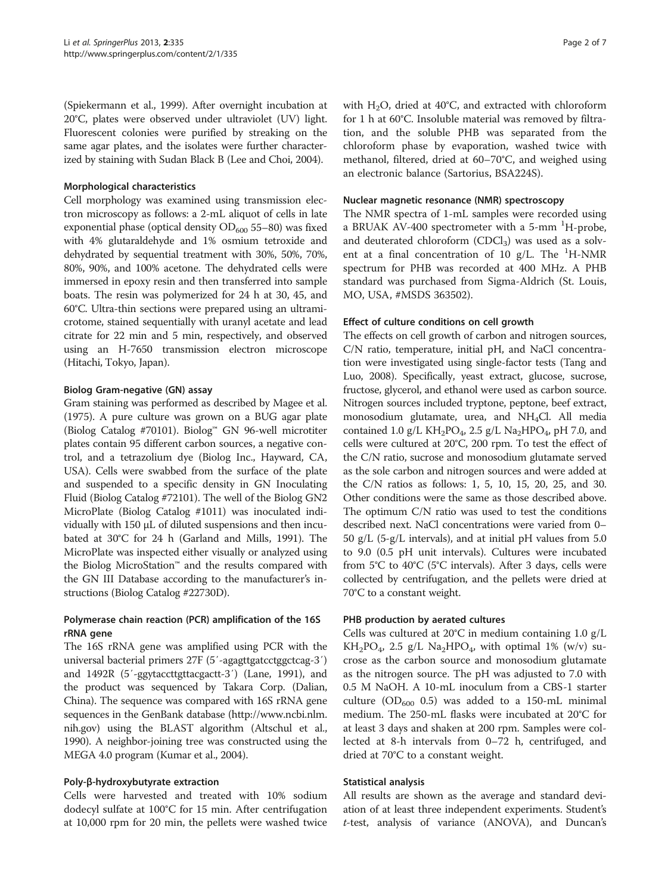(Spiekermann et al., [1999](#page-6-0)). After overnight incubation at 20°C, plates were observed under ultraviolet (UV) light. Fluorescent colonies were purified by streaking on the same agar plates, and the isolates were further characterized by staining with Sudan Black B (Lee and Choi, [2004\)](#page-6-0).

# Morphological characteristics

Cell morphology was examined using transmission electron microscopy as follows: a 2-mL aliquot of cells in late exponential phase (optical density  $OD_{600}$  55–80) was fixed with 4% glutaraldehyde and 1% osmium tetroxide and dehydrated by sequential treatment with 30%, 50%, 70%, 80%, 90%, and 100% acetone. The dehydrated cells were immersed in epoxy resin and then transferred into sample boats. The resin was polymerized for 24 h at 30, 45, and 60°C. Ultra-thin sections were prepared using an ultramicrotome, stained sequentially with uranyl acetate and lead citrate for 22 min and 5 min, respectively, and observed using an H-7650 transmission electron microscope (Hitachi, Tokyo, Japan).

# Biolog Gram-negative (GN) assay

Gram staining was performed as described by Magee et al. ([1975\)](#page-6-0). A pure culture was grown on a BUG agar plate (Biolog Catalog #70101). Biolog™ GN 96-well microtiter plates contain 95 different carbon sources, a negative control, and a tetrazolium dye (Biolog Inc., Hayward, CA, USA). Cells were swabbed from the surface of the plate and suspended to a specific density in GN Inoculating Fluid (Biolog Catalog #72101). The well of the Biolog GN2 MicroPlate (Biolog Catalog #1011) was inoculated individually with 150 μL of diluted suspensions and then incubated at 30°C for 24 h (Garland and Mills, [1991\)](#page-6-0). The MicroPlate was inspected either visually or analyzed using the Biolog MicroStation™ and the results compared with the GN III Database according to the manufacturer's instructions (Biolog Catalog #22730D).

# Polymerase chain reaction (PCR) amplification of the 16S rRNA gene

The 16S rRNA gene was amplified using PCR with the universal bacterial primers 27F (5'-agagttgatcctggctcag-3') and 1492R (5′-ggytaccttgttacgactt-3′) (Lane, [1991](#page-6-0)), and the product was sequenced by Takara Corp. (Dalian, China). The sequence was compared with 16S rRNA gene sequences in the GenBank database ([http://www.ncbi.nlm.](http://www.ncbi.nlm.nih.gov) [nih.gov\)](http://www.ncbi.nlm.nih.gov) using the BLAST algorithm (Altschul et al., [1990\)](#page-6-0). A neighbor-joining tree was constructed using the MEGA 4.0 program (Kumar et al., [2004](#page-6-0)).

# Poly-β-hydroxybutyrate extraction

Cells were harvested and treated with 10% sodium dodecyl sulfate at 100°C for 15 min. After centrifugation at 10,000 rpm for 20 min, the pellets were washed twice with  $H_2O$ , dried at 40°C, and extracted with chloroform for 1 h at 60°C. Insoluble material was removed by filtration, and the soluble PHB was separated from the chloroform phase by evaporation, washed twice with methanol, filtered, dried at 60–70°C, and weighed using an electronic balance (Sartorius, BSA224S).

# Nuclear magnetic resonance (NMR) spectroscopy

The NMR spectra of 1-mL samples were recorded using a BRUAK AV-400 spectrometer with a 5-mm <sup>1</sup>H-probe, and deuterated chloroform  $(CDCl<sub>3</sub>)$  was used as a solvent at a final concentration of 10  $g/L$ . The <sup>1</sup>H-NMR spectrum for PHB was recorded at 400 MHz. A PHB standard was purchased from Sigma-Aldrich (St. Louis, MO, USA, #MSDS 363502).

# Effect of culture conditions on cell growth

The effects on cell growth of carbon and nitrogen sources, C/N ratio, temperature, initial pH, and NaCl concentration were investigated using single-factor tests (Tang and Luo, [2008](#page-6-0)). Specifically, yeast extract, glucose, sucrose, fructose, glycerol, and ethanol were used as carbon source. Nitrogen sources included tryptone, peptone, beef extract, monosodium glutamate, urea, and NH<sub>4</sub>Cl. All media contained 1.0 g/L KH<sub>2</sub>PO<sub>4</sub>, 2.5 g/L Na<sub>2</sub>HPO<sub>4</sub>, pH 7.0, and cells were cultured at 20°C, 200 rpm. To test the effect of the C/N ratio, sucrose and monosodium glutamate served as the sole carbon and nitrogen sources and were added at the C/N ratios as follows: 1, 5, 10, 15, 20, 25, and 30. Other conditions were the same as those described above. The optimum C/N ratio was used to test the conditions described next. NaCl concentrations were varied from 0– 50 g/L (5-g/L intervals), and at initial pH values from 5.0 to 9.0 (0.5 pH unit intervals). Cultures were incubated from 5°C to 40°C (5°C intervals). After 3 days, cells were collected by centrifugation, and the pellets were dried at 70°C to a constant weight.

# PHB production by aerated cultures

Cells was cultured at 20°C in medium containing 1.0 g/L  $KH_2PO_4$ , 2.5 g/L Na<sub>2</sub>HPO<sub>4</sub>, with optimal 1% (w/v) sucrose as the carbon source and monosodium glutamate as the nitrogen source. The pH was adjusted to 7.0 with 0.5 M NaOH. A 10-mL inoculum from a CBS-1 starter culture (OD<sub>600</sub> 0.5) was added to a 150-mL minimal medium. The 250-mL flasks were incubated at 20°C for at least 3 days and shaken at 200 rpm. Samples were collected at 8-h intervals from 0–72 h, centrifuged, and dried at 70°C to a constant weight.

# Statistical analysis

All results are shown as the average and standard deviation of at least three independent experiments. Student's t-test, analysis of variance (ANOVA), and Duncan's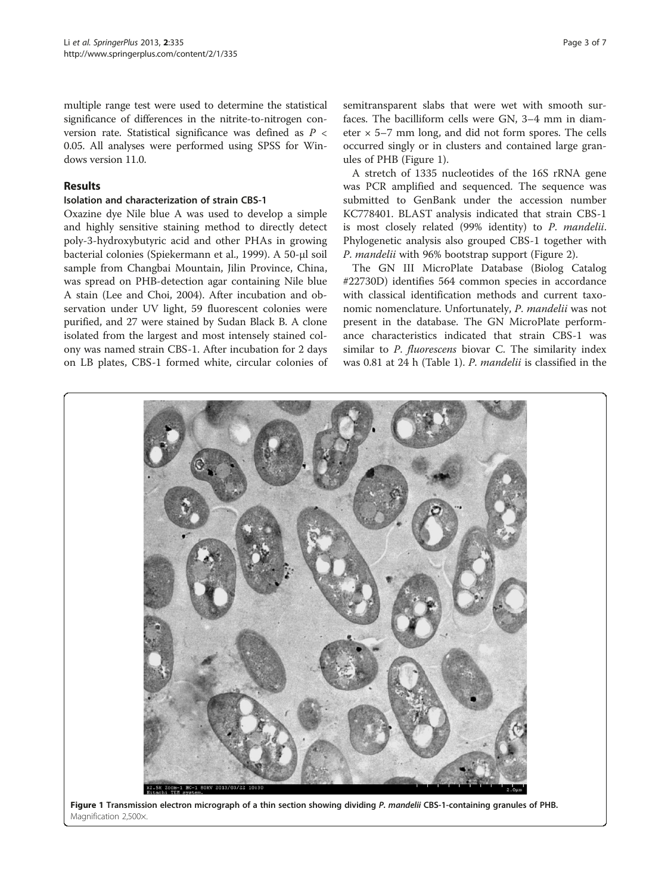multiple range test were used to determine the statistical significance of differences in the nitrite-to-nitrogen conversion rate. Statistical significance was defined as P < 0.05. All analyses were performed using SPSS for Windows version 11.0.

# Results

# Isolation and characterization of strain CBS-1

Oxazine dye Nile blue A was used to develop a simple and highly sensitive staining method to directly detect poly-3-hydroxybutyric acid and other PHAs in growing bacterial colonies (Spiekermann et al., [1999](#page-6-0)). A 50-μl soil sample from Changbai Mountain, Jilin Province, China, was spread on PHB-detection agar containing Nile blue A stain (Lee and Choi, [2004](#page-6-0)). After incubation and observation under UV light, 59 fluorescent colonies were purified, and 27 were stained by Sudan Black B. A clone isolated from the largest and most intensely stained colony was named strain CBS-1. After incubation for 2 days on LB plates, CBS-1 formed white, circular colonies of

semitransparent slabs that were wet with smooth surfaces. The bacilliform cells were GN, 3–4 mm in diameter  $\times$  5–7 mm long, and did not form spores. The cells occurred singly or in clusters and contained large granules of PHB (Figure 1).

A stretch of 1335 nucleotides of the 16S rRNA gene was PCR amplified and sequenced. The sequence was submitted to GenBank under the accession number KC778401. BLAST analysis indicated that strain CBS-1 is most closely related (99% identity) to P. mandelii. Phylogenetic analysis also grouped CBS-1 together with P. mandelii with 96% bootstrap support (Figure [2\)](#page-3-0).

The GN III MicroPlate Database (Biolog Catalog #22730D) identifies 564 common species in accordance with classical identification methods and current taxonomic nomenclature. Unfortunately, P. mandelii was not present in the database. The GN MicroPlate performance characteristics indicated that strain CBS-1 was similar to P. fluorescens biovar C. The similarity index was 0.81 at 24 h (Table [1\)](#page-3-0). P. mandelii is classified in the



Figure 1 Transmission electron micrograph of a thin section showing dividing P. mandelii CBS-1-containing granules of PHB. Magnification 2,500×.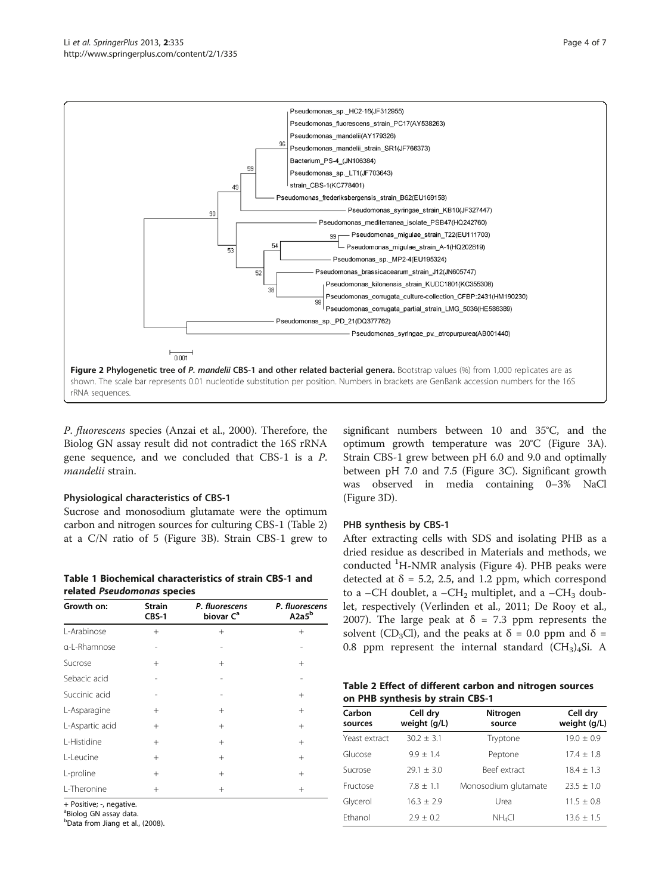<span id="page-3-0"></span>

P. fluorescens species (Anzai et al., [2000\)](#page-6-0). Therefore, the Biolog GN assay result did not contradict the 16S rRNA gene sequence, and we concluded that CBS-1 is a P. mandelii strain.

# Physiological characteristics of CBS-1

Sucrose and monosodium glutamate were the optimum carbon and nitrogen sources for culturing CBS-1 (Table 2) at a C/N ratio of 5 (Figure [3B](#page-4-0)). Strain CBS-1 grew to

Table 1 Biochemical characteristics of strain CBS-1 and related Pseudomonas species

| Growth on:      | <b>Strain</b><br>CBS-1 | P. fluorescens<br>biovar C <sup>a</sup> | P. fluorescens<br>A <sub>2a5</sub> b |
|-----------------|------------------------|-----------------------------------------|--------------------------------------|
| L-Arabinose     | $^{+}$                 | $+$                                     | $^{+}$                               |
| a-L-Rhamnose    |                        |                                         |                                      |
| Sucrose         | $^{+}$                 | $^{+}$                                  | $^{+}$                               |
| Sebacic acid    |                        |                                         |                                      |
| Succinic acid   |                        |                                         | $^{+}$                               |
| L-Asparagine    | $^{+}$                 | $^{+}$                                  | $^{+}$                               |
| L-Aspartic acid | $^{+}$                 | $+$                                     | $^{+}$                               |
| L-Histidine     | $^{+}$                 | $+$                                     | $+$                                  |
| L-Leucine       | $^{+}$                 | $^{+}$                                  | $^{+}$                               |
| L-proline       | $^{+}$                 | $^{+}$                                  | $+$                                  |
| L-Theronine     | $^{+}$                 | $^{+}$                                  | $^{+}$                               |

+ Positive; -, negative.

<sup>a</sup>Biolog GN assay data.

b Data from Jiang et al., [\(2008\)](#page-6-0).

significant numbers between 10 and 35°C, and the optimum growth temperature was 20°C (Figure [3A](#page-4-0)). Strain CBS-1 grew between pH 6.0 and 9.0 and optimally between pH 7.0 and 7.5 (Figure [3C](#page-4-0)). Significant growth was observed in media containing 0–3% NaCl (Figure [3](#page-4-0)D).

# PHB synthesis by CBS-1

After extracting cells with SDS and isolating PHB as a dried residue as described in Materials and methods, we conducted <sup>1</sup>H-NMR analysis (Figure [4\)](#page-4-0). PHB peaks were detected at  $\delta$  = 5.2, 2.5, and 1.2 ppm, which correspond to a –CH doublet, a –CH<sub>2</sub> multiplet, and a –CH<sub>3</sub> doublet, respectively (Verlinden et al., [2011](#page-6-0); De Rooy et al., [2007](#page-6-0)). The large peak at  $\delta = 7.3$  ppm represents the solvent (CD<sub>3</sub>Cl), and the peaks at  $\delta$  = 0.0 ppm and  $\delta$  = 0.8 ppm represent the internal standard  $(CH<sub>3</sub>)<sub>4</sub>Si.$  A

| Table 2 Effect of different carbon and nitrogen sources |  |
|---------------------------------------------------------|--|
| on PHB synthesis by strain CBS-1                        |  |

| Carbon<br>sources | Cell dry<br>weight (g/L) | <b>Nitrogen</b><br>source | Cell dry<br>weight (g/L) |
|-------------------|--------------------------|---------------------------|--------------------------|
| Yeast extract     | $30.2 \pm 3.1$           | Tryptone                  | $19.0 \pm 0.9$           |
| Glucose           | $9.9 + 1.4$              | Peptone                   | $17.4 + 1.8$             |
| Sucrose           | $79.1 + 3.0$             | Beef extract              | $18.4 + 1.3$             |
| Fructose          | $7.8 + 1.1$              | Monosodium glutamate      | $23.5 + 1.0$             |
| Glycerol          | $16.3 + 2.9$             | Urea                      | $11.5 \pm 0.8$           |
| Fthanol           | $2.9 + 0.2$              | $NH_4Cl$                  | $13.6 \pm 1.5$           |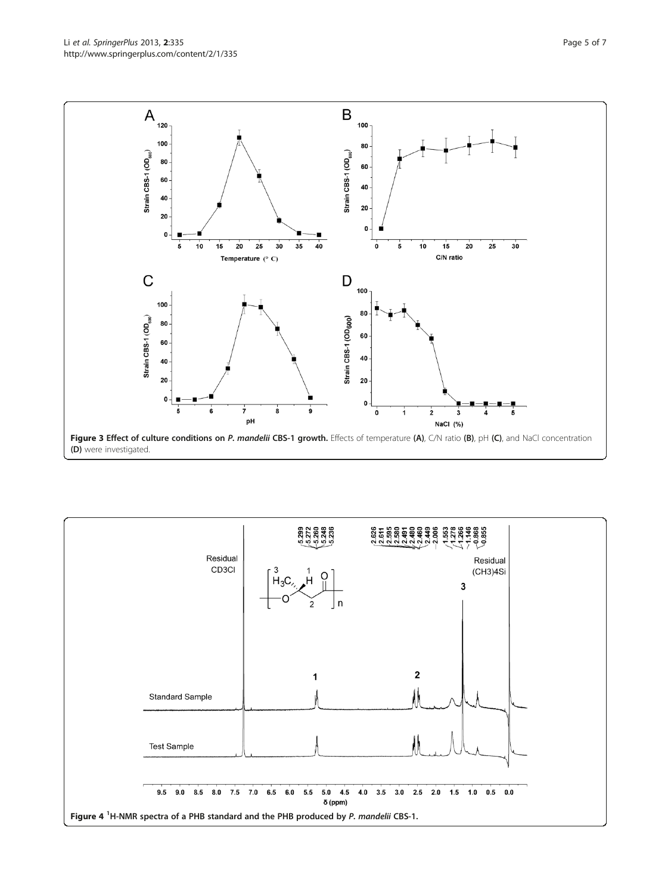<span id="page-4-0"></span>Li et al. SpringerPlus 2013, 2:335 Page 5 of 7 http://www.springerplus.com/content/2/1/335



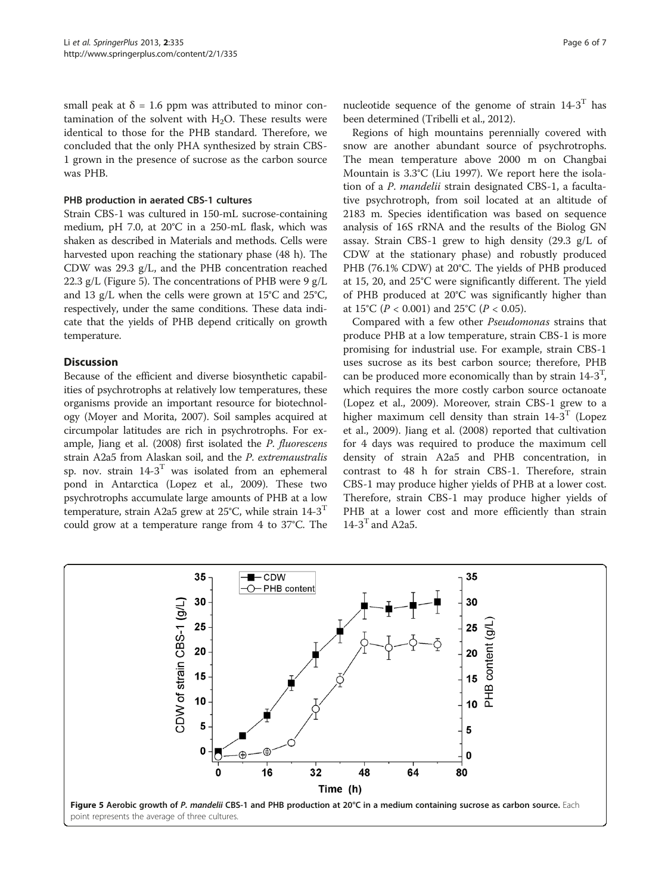small peak at  $\delta = 1.6$  ppm was attributed to minor contamination of the solvent with  $H_2O$ . These results were identical to those for the PHB standard. Therefore, we concluded that the only PHA synthesized by strain CBS-1 grown in the presence of sucrose as the carbon source was PHB.

# PHB production in aerated CBS-1 cultures

Strain CBS-1 was cultured in 150-mL sucrose-containing medium, pH 7.0, at 20°C in a 250-mL flask, which was shaken as described in Materials and methods. Cells were harvested upon reaching the stationary phase (48 h). The CDW was 29.3 g/L, and the PHB concentration reached 22.3 g/L (Figure 5). The concentrations of PHB were 9 g/L and 13 g/L when the cells were grown at 15°C and 25°C, respectively, under the same conditions. These data indicate that the yields of PHB depend critically on growth temperature.

# **Discussion**

Because of the efficient and diverse biosynthetic capabilities of psychrotrophs at relatively low temperatures, these organisms provide an important resource for biotechnology (Moyer and Morita, [2007](#page-6-0)). Soil samples acquired at circumpolar latitudes are rich in psychrotrophs. For example, Jiang et al. ([2008\)](#page-6-0) first isolated the P. fluorescens strain A2a5 from Alaskan soil, and the P. extremaustralis sp. nov. strain  $14-3$ <sup>T</sup> was isolated from an ephemeral pond in Antarctica (Lopez et al., [2009\)](#page-6-0). These two psychrotrophs accumulate large amounts of PHB at a low temperature, strain A2a5 grew at 25°C, while strain  $14-3$ <sup>T</sup> could grow at a temperature range from 4 to 37°C. The

nucleotide sequence of the genome of strain  $14-3$ <sup>T</sup> has been determined (Tribelli et al., [2012](#page-6-0)).

Regions of high mountains perennially covered with snow are another abundant source of psychrotrophs. The mean temperature above 2000 m on Changbai Mountain is 3.3°C (Liu [1997](#page-6-0)). We report here the isolation of a P. mandelii strain designated CBS-1, a facultative psychrotroph, from soil located at an altitude of 2183 m. Species identification was based on sequence analysis of 16S rRNA and the results of the Biolog GN assay. Strain CBS-1 grew to high density (29.3 g/L of CDW at the stationary phase) and robustly produced PHB (76.1% CDW) at 20°C. The yields of PHB produced at 15, 20, and 25°C were significantly different. The yield of PHB produced at 20°C was significantly higher than at 15°C ( $P < 0.001$ ) and 25°C ( $P < 0.05$ ).

Compared with a few other Pseudomonas strains that produce PHB at a low temperature, strain CBS-1 is more promising for industrial use. For example, strain CBS-1 uses sucrose as its best carbon source; therefore, PHB can be produced more economically than by strain  $14-3^T$ , which requires the more costly carbon source octanoate (Lopez et al., [2009\)](#page-6-0). Moreover, strain CBS-1 grew to a higher maximum cell density than strain  $14-3$ <sup>T</sup> (Lopez et al., [2009\)](#page-6-0). Jiang et al. ([2008](#page-6-0)) reported that cultivation for 4 days was required to produce the maximum cell density of strain A2a5 and PHB concentration, in contrast to 48 h for strain CBS-1. Therefore, strain CBS-1 may produce higher yields of PHB at a lower cost. Therefore, strain CBS-1 may produce higher yields of PHB at a lower cost and more efficiently than strain  $14-3$ <sup>T</sup> and A2a5.